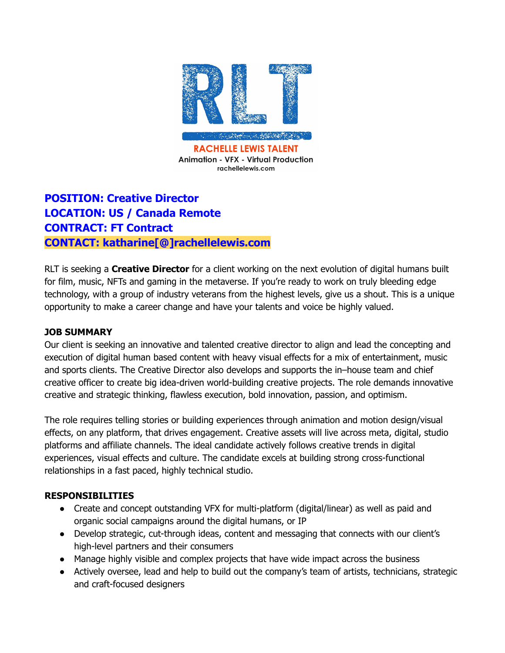

# **POSITION: Creative Director LOCATION: US / Canada Remote CONTRACT: FT Contract CONTACT: katharine[@]rachellelewis.com**

RLT is seeking a **Creative Director** for a client working on the next evolution of digital humans built for film, music, NFTs and gaming in the metaverse. If you're ready to work on truly bleeding edge technology, with a group of industry veterans from the highest levels, give us a shout. This is a unique opportunity to make a career change and have your talents and voice be highly valued.

#### **JOB SUMMARY**

Our client is seeking an innovative and talented creative director to align and lead the concepting and execution of digital human based content with heavy visual effects for a mix of entertainment, music and sports clients. The Creative Director also develops and supports the in–house team and chief creative officer to create big idea-driven world-building creative projects. The role demands innovative creative and strategic thinking, flawless execution, bold innovation, passion, and optimism.

The role requires telling stories or building experiences through animation and motion design/visual effects, on any platform, that drives engagement. Creative assets will live across meta, digital, studio platforms and affiliate channels. The ideal candidate actively follows creative trends in digital experiences, visual effects and culture. The candidate excels at building strong cross-functional relationships in a fast paced, highly technical studio.

#### **RESPONSIBILITIES**

- Create and concept outstanding VFX for multi-platform (digital/linear) as well as paid and organic social campaigns around the digital humans, or IP
- Develop strategic, cut-through ideas, content and messaging that connects with our client's high-level partners and their consumers
- Manage highly visible and complex projects that have wide impact across the business
- Actively oversee, lead and help to build out the company's team of artists, technicians, strategic and craft-focused designers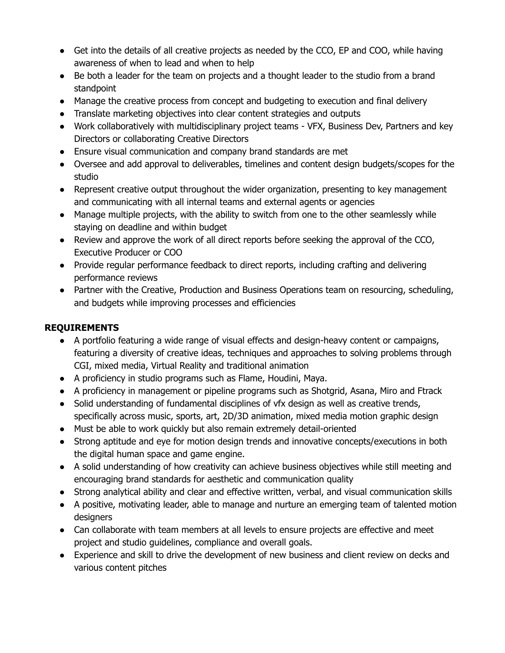- Get into the details of all creative projects as needed by the CCO, EP and COO, while having awareness of when to lead and when to help
- Be both a leader for the team on projects and a thought leader to the studio from a brand standpoint
- Manage the creative process from concept and budgeting to execution and final delivery
- Translate marketing objectives into clear content strategies and outputs
- Work collaboratively with multidisciplinary project teams VFX, Business Dev, Partners and key Directors or collaborating Creative Directors
- Ensure visual communication and company brand standards are met
- Oversee and add approval to deliverables, timelines and content design budgets/scopes for the studio
- Represent creative output throughout the wider organization, presenting to key management and communicating with all internal teams and external agents or agencies
- Manage multiple projects, with the ability to switch from one to the other seamlessly while staying on deadline and within budget
- Review and approve the work of all direct reports before seeking the approval of the CCO, Executive Producer or COO
- Provide regular performance feedback to direct reports, including crafting and delivering performance reviews
- Partner with the Creative, Production and Business Operations team on resourcing, scheduling, and budgets while improving processes and efficiencies

## **REQUIREMENTS**

- A portfolio featuring a wide range of visual effects and design-heavy content or campaigns, featuring a diversity of creative ideas, techniques and approaches to solving problems through CGI, mixed media, Virtual Reality and traditional animation
- A proficiency in studio programs such as Flame, Houdini, Maya.
- A proficiency in management or pipeline programs such as Shotgrid, Asana, Miro and Ftrack
- Solid understanding of fundamental disciplines of vfx design as well as creative trends, specifically across music, sports, art, 2D/3D animation, mixed media motion graphic design
- Must be able to work quickly but also remain extremely detail-oriented
- Strong aptitude and eye for motion design trends and innovative concepts/executions in both the digital human space and game engine.
- A solid understanding of how creativity can achieve business objectives while still meeting and encouraging brand standards for aesthetic and communication quality
- Strong analytical ability and clear and effective written, verbal, and visual communication skills
- A positive, motivating leader, able to manage and nurture an emerging team of talented motion designers
- Can collaborate with team members at all levels to ensure projects are effective and meet project and studio guidelines, compliance and overall goals.
- Experience and skill to drive the development of new business and client review on decks and various content pitches